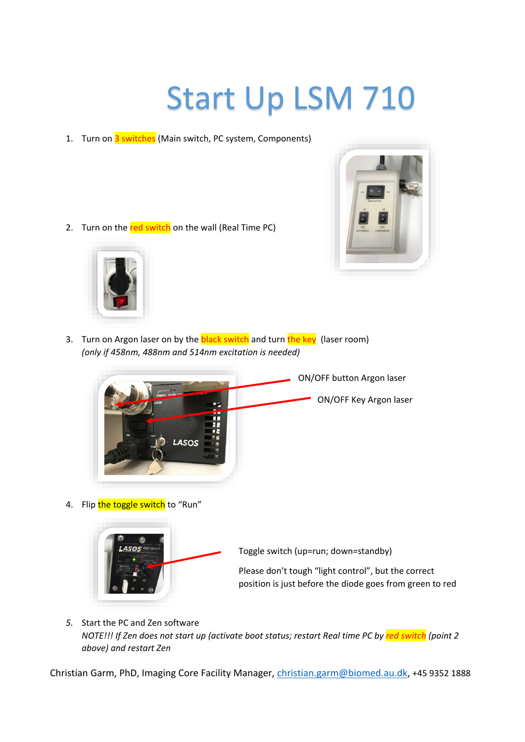## Start Up LSM 710

1. Turn on 3 switches (Main switch, PC system, Components)

2. Turn on the red switch on the wall (Real Time PC)





3. Turn on Argon laser on by the **black switch** and turn the key (laser room) *(only if 458nm, 488nm and 514nm excitation is needed)*



4. Flip the toggle switch to "Run"



Toggle switch (up=run; down=standby)

Please don't tough "light control", but the correct position is just before the diode goes from green to red

*5.* Start the PC and Zen software *NOTE!!! If Zen does not start up (activate boot status; restart Real time PC by red switch (point 2 above) and restart Zen*

Christian Garm, PhD, Imaging Core Facility Manager, [christian.garm@biomed.au.dk,](mailto:christian.garm@biomed.au.dk) +45 9352 1888